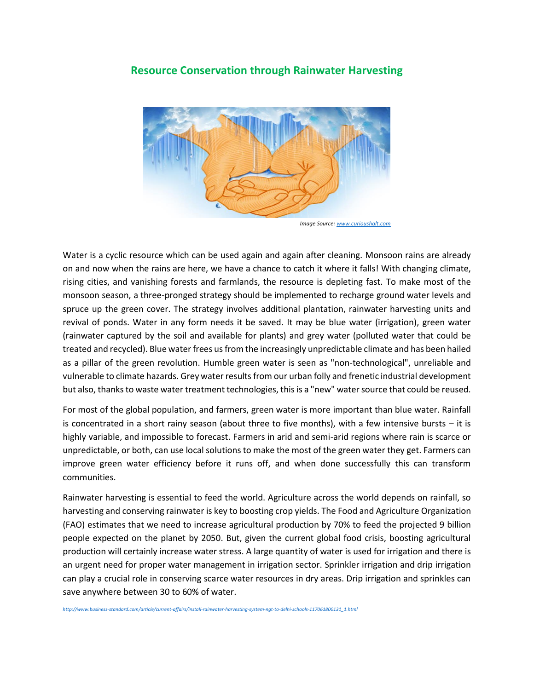## **Resource Conservation through Rainwater Harvesting**



 *Image Source[: www.curioushalt.com](http://www.curioushalt.com/)*

Water is a cyclic resource which can be used again and again after cleaning. Monsoon rains are already on and now when the rains are here, we have a chance to catch it where it falls! With changing climate, rising cities, and vanishing forests and farmlands, the resource is depleting fast. To make most of the monsoon season, a three-pronged strategy should be implemented to recharge ground water levels and spruce up the green cover. The strategy involves additional plantation, rainwater harvesting units and revival of ponds. Water in any form needs it be saved. It may be blue water (irrigation), green water (rainwater captured by the soil and available for plants) and grey water (polluted water that could be treated and recycled). Blue water frees us from the increasingly unpredictable climate and has been hailed as a pillar of the green revolution. Humble green water is seen as "non-technological", unreliable and vulnerable to climate hazards. Grey water results from our urban folly and frenetic industrial development but also, thanks to waste water treatment technologies, this is a "new" water source that could be reused.

For most of the global population, and farmers, green water is more important than blue water. Rainfall is concentrated in a short rainy season (about three to five months), with a few intensive bursts – it is highly variable, and impossible to forecast. Farmers in arid and semi-arid regions where rain is scarce or unpredictable, or both, can use local solutions to make the most of the green water they get. Farmers can improve green water efficiency before it runs off, and when done successfully this can transform communities.

Rainwater harvesting is essential to feed the world. Agriculture across the world depends on rainfall, so harvesting and conserving rainwater is key to boosting crop yields. The Food and Agriculture Organization (FAO) estimates that we need to increase agricultural production by 70% to feed the projected 9 billion people expected on the planet by 2050. But, given the current global food crisis, boosting agricultural production will certainly increase water stress. A large quantity of water is used for irrigation and there is an urgent need for proper water management in irrigation sector. Sprinkler irrigation and drip irrigation can play a crucial role in conserving scarce water resources in dry areas. Drip irrigation and sprinkles can save anywhere between 30 to 60% of water.